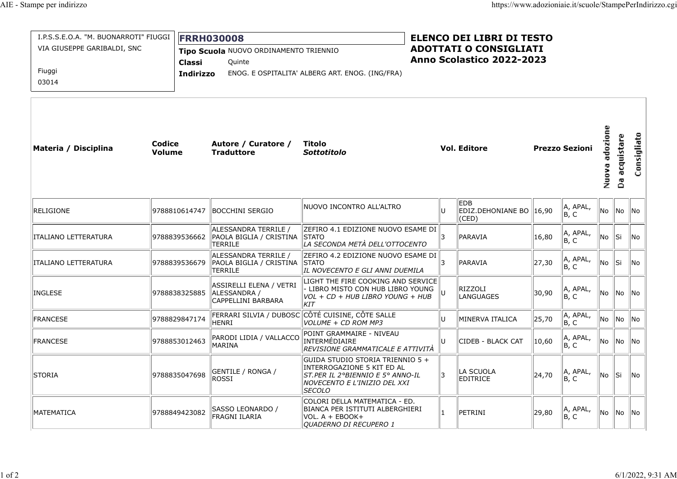| I.P.S.S.E.O.A. "M. BUONARROTI" FIUGGI<br>VIA GIUSEPPE GARIBALDI, SNC |                         | <b>FRRH030008</b><br>Tipo Scuola NUOVO ORDINAMENTO TRIENNIO<br>Quinte<br>Classi<br>ENOG. E OSPITALITA' ALBERG ART. ENOG. (ING/FRA)<br>Indirizzo |                                                                                                                                                     |  | <b>ELENCO DEI LIBRI DI TESTO</b><br><b>ADOTTATI O CONSIGLIATI</b><br>Anno Scolastico 2022-2023 |                 |                                                                     |                   |                                              |  |  |  |
|----------------------------------------------------------------------|-------------------------|-------------------------------------------------------------------------------------------------------------------------------------------------|-----------------------------------------------------------------------------------------------------------------------------------------------------|--|------------------------------------------------------------------------------------------------|-----------------|---------------------------------------------------------------------|-------------------|----------------------------------------------|--|--|--|
| Fiuggi<br>03014                                                      |                         |                                                                                                                                                 |                                                                                                                                                     |  |                                                                                                |                 |                                                                     |                   |                                              |  |  |  |
| Materia / Disciplina                                                 | Codice<br><b>Volume</b> | Autore / Curatore /<br><b>Traduttore</b>                                                                                                        | Titolo<br><b>Sottotitolo</b>                                                                                                                        |  | <b>Vol. Editore</b>                                                                            |                 | <b>Prezzo Sezioni</b>                                               | adozione<br>Nuova | acquistare<br>යි                             |  |  |  |
| RELIGIONE                                                            | 9788810614747           | BOCCHINI SERGIO                                                                                                                                 | NUOVO INCONTRO ALL'ALTRO                                                                                                                            |  | <b>EDB</b><br>EDIZ.DEHONIANE BO 16,90<br>(CED)                                                 |                 | A, APAL,<br>$\parallel$ B, C                                        | No                | No  <br>lNo.                                 |  |  |  |
| ITALIANO LETTERATURA                                                 |                         | ALESSANDRA TERRILE /<br>9788839536662   PAOLA BIGLIA / CRISTINA<br>TERRILE                                                                      | ZEFIRO 4.1 EDIZIONE NUOVO ESAME DI<br>$\parallel$ STATO<br>LA SECONDA METÀ DELL'OTTOCENTO                                                           |  | PARAVIA                                                                                        | $ 16,80\rangle$ | $\left\  \begin{matrix} A, & APAL, \\ B, & C \end{matrix} \right\ $ | No ∥Si            | lNo.                                         |  |  |  |
| ITALIANO LETTERATURA                                                 | 9788839536679           | ALESSANDRA TERRILE /<br>PAOLA BIGLIA / CRISTINA<br>TERRILE                                                                                      | ZEFIRO 4.2 EDIZIONE NUOVO ESAME DI<br><b>STATO</b><br>IL NOVECENTO E GLI ANNI DUEMILA                                                               |  | PARAVIA                                                                                        | 27,30           | A, APAL,<br>$\parallel$ B, C                                        | No                | llSi.<br>lNo.                                |  |  |  |
| INGLESE                                                              |                         | ASSIRELLI ELENA / VETRI<br>9788838325885 ALESSANDRA /<br>CAPPELLINI BARBARA                                                                     | $LIGHT$ THE FIRE COOKING AND SERVICE<br>LIBRO MISTO CON HUB LIBRO YOUNG<br>VOL + CD + HUB LIBRO YOUNG + HUB<br>KIT                                  |  | RIZZOLI<br>LANGUAGES                                                                           | 30,90           | $\vert$ A, APAL,<br>  B, C                                          |                   | $\parallel$ No $\parallel$ No $\parallel$ No |  |  |  |
| <b>FRANCESE</b>                                                      | 9788829847174           | HENRI                                                                                                                                           | FERRARI SILVIA / DUBOSC $\parallel$ CÔTÉ CUISINE, CÔTE SALLE<br>VOLUME + CD ROM MP3                                                                 |  | MINERVA ITALICA                                                                                | 25,70           | A, APAL,<br>$\parallel$ B, C                                        |                   | No   No   No                                 |  |  |  |
| <b>FRANCESE</b>                                                      | 9788853012463           | PARODI LIDIA / VALLACCO<br>MARINA                                                                                                               | POINT GRAMMAIRE - NIVEAU<br>INTERMÉDIAIRE<br>REVISIONE GRAMMATICALE E ATTIVITÀ                                                                      |  | CIDEB - BLACK CAT                                                                              | 10,60           | A, APAL,<br>$\parallel$ B, C                                        | No                | $\ $ No $\ $ No                              |  |  |  |
| STORIA                                                               | 9788835047698           | GENTILE / RONGA /<br><b>ROSSI</b>                                                                                                               | GUIDA STUDIO STORIA TRIENNIO 5 +<br>INTERROGAZIONE 5 KIT ED AL<br>ST.PER IL 2°BIENNIO E 5° ANNO-IL<br>NOVECENTO E L'INIZIO DEL XXI<br><b>SECOLO</b> |  | LA SCUOLA<br><b>EDITRICE</b>                                                                   | 24,70           | A, APAL,<br>$\parallel$ B, C                                        | No Si             | lNo.                                         |  |  |  |
| MATEMATICA                                                           | 9788849423082           | SASSO LEONARDO /<br>FRAGNI ILARIA                                                                                                               | COLORI DELLA MATEMATICA - ED.<br>BIANCA PER ISTITUTI ALBERGHIERI<br>VOL. A + EBOOK+<br>QUADERNO DI RECUPERO 1                                       |  | PETRINI                                                                                        | 29,80           | A, APAL,<br>$\parallel$ B, C                                        | No                | $\ $ No $\ $ No                              |  |  |  |